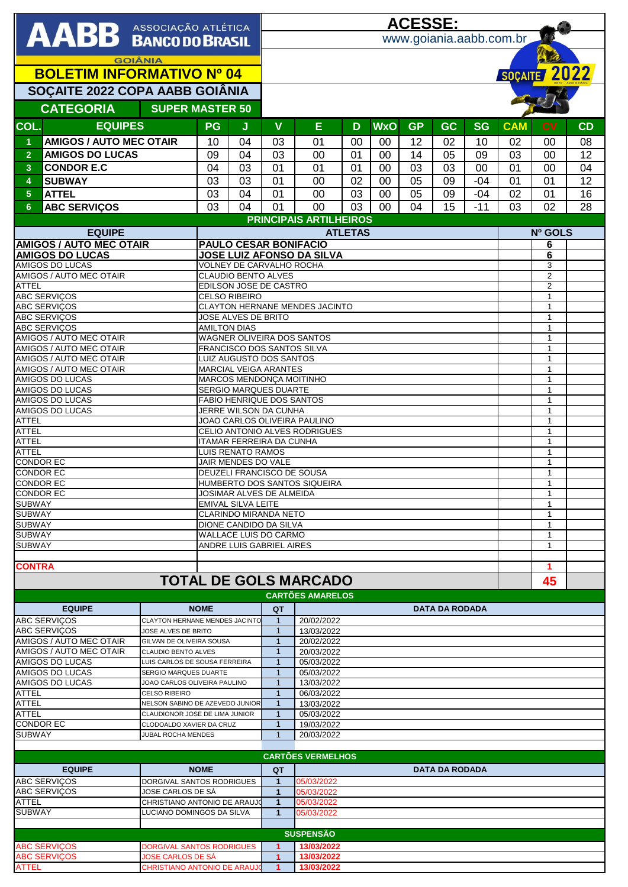|                                                                                                   |                                                    |                                                          |                                                              |                                                                                           | <u>ACESSE:</u>                                         |                                                 |          |            |           |                       |           |                              |                              |          |  |  |  |
|---------------------------------------------------------------------------------------------------|----------------------------------------------------|----------------------------------------------------------|--------------------------------------------------------------|-------------------------------------------------------------------------------------------|--------------------------------------------------------|-------------------------------------------------|----------|------------|-----------|-----------------------|-----------|------------------------------|------------------------------|----------|--|--|--|
| AABB ASSOCIAÇÃO ATLÉTICA                                                                          |                                                    |                                                          |                                                              |                                                                                           | www.goiania.aabb.com.br                                |                                                 |          |            |           |                       |           |                              |                              |          |  |  |  |
|                                                                                                   |                                                    |                                                          |                                                              |                                                                                           |                                                        |                                                 |          |            |           |                       |           |                              |                              |          |  |  |  |
|                                                                                                   |                                                    | <b>GOIÂNIA</b>                                           |                                                              |                                                                                           |                                                        |                                                 |          |            |           |                       |           |                              |                              |          |  |  |  |
| <b>BOLETIM INFORMATIVO Nº 04</b>                                                                  |                                                    |                                                          |                                                              |                                                                                           |                                                        |                                                 |          |            |           |                       |           |                              | SOÇAITE 2022                 |          |  |  |  |
| SOÇAITE 2022 COPA AABB GOIÂNIA                                                                    |                                                    |                                                          |                                                              |                                                                                           |                                                        |                                                 |          |            |           |                       |           |                              |                              |          |  |  |  |
| <b>CATEGORIA</b><br><b>SUPER MASTER 50</b>                                                        |                                                    |                                                          |                                                              |                                                                                           |                                                        |                                                 |          |            |           |                       |           |                              |                              |          |  |  |  |
| COL.                                                                                              | <b>EQUIPES</b>                                     |                                                          | <b>PG</b>                                                    | J                                                                                         | $\mathbf{V}$                                           | E                                               | D        | <b>WxO</b> | <b>GP</b> | <b>GC</b>             | <b>SG</b> | <b>CAM</b>                   | <b>CV</b>                    | CD       |  |  |  |
|                                                                                                   |                                                    |                                                          |                                                              |                                                                                           |                                                        |                                                 |          |            |           |                       |           |                              |                              |          |  |  |  |
| $\blacktriangleleft$                                                                              | <b>AMIGOS / AUTO MEC OTAIR</b>                     |                                                          | 10                                                           | 04                                                                                        | 03                                                     | 01                                              | 00       | 00         | 12        | 02                    | 10        | 02                           | 00                           | 08       |  |  |  |
| $\overline{2}$<br>3                                                                               | <b>AMIGOS DO LUCAS</b><br><b>CONDOR E.C</b>        |                                                          | 09<br>04                                                     | 04<br>03                                                                                  | 03<br>01                                               | 00<br>01                                        | 01<br>01 | 00<br>00   | 14<br>03  | 05<br>03              | 09<br>00  | 03<br>01                     | 00<br>00                     | 12<br>04 |  |  |  |
| 4                                                                                                 | <b>SUBWAY</b>                                      |                                                          | 03                                                           | 03                                                                                        | 01                                                     | 00                                              | 02       | 00         | 05        | 09                    | $-04$     | 01                           | 01                           | 12       |  |  |  |
| 5 <sub>5</sub>                                                                                    | <b>ATTEL</b>                                       |                                                          | 03                                                           | 04                                                                                        | 01                                                     | 00                                              | 03       | 00         | 05        | 09                    | $-04$     | 02                           | 01                           | 16       |  |  |  |
| 6                                                                                                 | <b>ABC SERVIÇOS</b>                                |                                                          | 03                                                           | 04                                                                                        | 01                                                     | 00                                              | 03       | 00         | 04        | 15                    | $-11$     | 03                           | 02                           | 28       |  |  |  |
|                                                                                                   |                                                    |                                                          |                                                              |                                                                                           |                                                        |                                                 |          |            |           |                       |           |                              |                              |          |  |  |  |
| <b>EQUIPE</b>                                                                                     |                                                    |                                                          |                                                              |                                                                                           |                                                        | <b>PRINCIPAIS ARTILHEIROS</b><br><b>ATLETAS</b> |          |            |           |                       |           |                              |                              | Nº GOLS  |  |  |  |
|                                                                                                   | <b>AMIGOS / AUTO MEC OTAIR</b>                     |                                                          |                                                              | <b>PAULO CESAR BONIFACIO</b>                                                              |                                                        |                                                 |          |            |           |                       |           |                              | 6                            |          |  |  |  |
| <b>AMIGOS DO LUCAS</b>                                                                            |                                                    |                                                          |                                                              | <b>JOSE LUIZ AFONSO DA SILVA</b>                                                          |                                                        |                                                 |          |            |           |                       |           |                              |                              |          |  |  |  |
|                                                                                                   | AMIGOS DO LUCAS<br>AMIGOS / AUTO MEC OTAIR         |                                                          |                                                              |                                                                                           | VOLNEY DE CARVALHO ROCHA<br><b>CLAUDIO BENTO ALVES</b> |                                                 |          |            |           |                       |           |                              | 3<br>$\overline{2}$          |          |  |  |  |
| <b>ATTEL</b>                                                                                      |                                                    |                                                          |                                                              |                                                                                           | EDILSON JOSE DE CASTRO                                 |                                                 |          |            |           |                       |           |                              | $\overline{2}$               |          |  |  |  |
|                                                                                                   | <b>ABC SERVIÇOS</b>                                |                                                          |                                                              | <b>CELSO RIBEIRO</b>                                                                      |                                                        |                                                 |          |            |           |                       |           |                              | $\mathbf{1}$                 |          |  |  |  |
|                                                                                                   | <b>ABC SERVIÇOS</b>                                |                                                          |                                                              |                                                                                           |                                                        | <b>CLAYTON HERNANE MENDES JACINTO</b>           |          |            |           |                       |           |                              | $\mathbf{1}$<br>$\mathbf{1}$ |          |  |  |  |
|                                                                                                   | <b>ABC SERVIÇOS</b><br><b>ABC SERVICOS</b>         |                                                          |                                                              | JOSE ALVES DE BRITO<br><b>AMILTON DIAS</b>                                                |                                                        |                                                 |          |            |           |                       |           |                              |                              |          |  |  |  |
|                                                                                                   | AMIGOS / AUTO MEC OTAIR                            |                                                          | WAGNER OLIVEIRA DOS SANTOS                                   |                                                                                           |                                                        |                                                 |          |            |           |                       |           |                              | $\mathbf{1}$<br>$\mathbf{1}$ |          |  |  |  |
|                                                                                                   | AMIGOS / AUTO MEC OTAIR                            |                                                          | FRANCISCO DOS SANTOS SILVA<br><b>LUIZ AUGUSTO DOS SANTOS</b> |                                                                                           |                                                        |                                                 |          |            |           |                       |           |                              | $\mathbf{1}$                 |          |  |  |  |
|                                                                                                   | AMIGOS / AUTO MEC OTAIR<br>AMIGOS / AUTO MEC OTAIR |                                                          |                                                              |                                                                                           |                                                        | $\mathbf{1}$<br>$\mathbf{1}$                    |          |            |           |                       |           |                              |                              |          |  |  |  |
|                                                                                                   | AMIGOS DO LUCAS                                    | <b>MARCIAL VEIGA ARANTES</b><br>MARCOS MENDONÇA MOITINHO |                                                              |                                                                                           |                                                        |                                                 |          |            |           |                       |           | $\mathbf{1}$                 |                              |          |  |  |  |
|                                                                                                   | AMIGOS DO LUCAS                                    |                                                          |                                                              | SERGIO MARQUES DUARTE                                                                     |                                                        | $\mathbf{1}$                                    |          |            |           |                       |           |                              |                              |          |  |  |  |
| <b>AMIGOS DO LUCAS</b>                                                                            |                                                    |                                                          |                                                              | <b>FABIO HENRIQUE DOS SANTOS</b><br>$\mathbf{1}$<br>JERRE WILSON DA CUNHA<br>$\mathbf{1}$ |                                                        |                                                 |          |            |           |                       |           |                              |                              |          |  |  |  |
| <b>ATTEL</b>                                                                                      | AMIGOS DO LUCAS                                    | JOAO CARLOS OLIVEIRA PAULINO<br>$\mathbf{1}$             |                                                              |                                                                                           |                                                        |                                                 |          |            |           |                       |           |                              |                              |          |  |  |  |
| <b>ATTEL</b>                                                                                      |                                                    | CELIO ANTONIO ALVES RODRIGUES<br>$\mathbf{1}$            |                                                              |                                                                                           |                                                        |                                                 |          |            |           |                       |           |                              |                              |          |  |  |  |
| <b>ATTEL</b>                                                                                      |                                                    | <b>ITAMAR FERREIRA DA CUNHA</b><br>$\mathbf{1}$          |                                                              |                                                                                           |                                                        |                                                 |          |            |           |                       |           |                              |                              |          |  |  |  |
| <b>ATTEL</b><br><b>CONDOR EC</b>                                                                  |                                                    | LUIS RENATO RAMOS<br><b>JAIR MENDES DO VALE</b>          |                                                              |                                                                                           |                                                        |                                                 |          |            |           |                       |           | $\mathbf{1}$<br>$\mathbf{1}$ |                              |          |  |  |  |
| <b>CONDOR EC</b>                                                                                  |                                                    |                                                          | DEUZELI FRANCISCO DE SOUSA                                   |                                                                                           | $\mathbf{1}$                                           |                                                 |          |            |           |                       |           |                              |                              |          |  |  |  |
| <b>CONDOR EC</b>                                                                                  |                                                    |                                                          | HUMBERTO DOS SANTOS SIQUEIRA                                 |                                                                                           | $\mathbf{1}$                                           |                                                 |          |            |           |                       |           |                              |                              |          |  |  |  |
| <b>CONDOR EC</b>                                                                                  |                                                    | JOSIMAR ALVES DE ALMEIDA                                 |                                                              |                                                                                           |                                                        |                                                 |          |            |           |                       |           |                              |                              |          |  |  |  |
| <b>SUBWAY</b><br><b>SUBWAY</b>                                                                    |                                                    |                                                          | <b>EMIVAL SILVA LEITE</b><br><b>CLARINDO MIRANDA NETO</b>    |                                                                                           |                                                        |                                                 |          |            |           |                       |           |                              | $\mathbf{1}$<br>1            |          |  |  |  |
| <b>SUBWAY</b>                                                                                     |                                                    |                                                          | DIONE CANDIDO DA SILVA                                       |                                                                                           |                                                        |                                                 |          |            |           |                       |           |                              | $\mathbf{1}$                 |          |  |  |  |
| <b>SUBWAY</b>                                                                                     |                                                    |                                                          | WALLACE LUIS DO CARMO                                        |                                                                                           |                                                        |                                                 |          |            |           |                       |           |                              | $\mathbf{1}$                 |          |  |  |  |
| <b>SUBWAY</b>                                                                                     |                                                    |                                                          |                                                              |                                                                                           | ANDRE LUIS GABRIEL AIRES                               |                                                 |          |            |           |                       |           |                              | 1                            |          |  |  |  |
| <b>CONTRA</b>                                                                                     |                                                    |                                                          |                                                              |                                                                                           |                                                        |                                                 |          |            |           |                       |           |                              | 1                            |          |  |  |  |
|                                                                                                   |                                                    |                                                          |                                                              |                                                                                           | <b>TOTAL DE GOLS MARCADO</b><br>45                     |                                                 |          |            |           |                       |           |                              |                              |          |  |  |  |
|                                                                                                   |                                                    |                                                          |                                                              |                                                                                           |                                                        | <b>CARTÕES AMARELOS</b>                         |          |            |           |                       |           |                              |                              |          |  |  |  |
|                                                                                                   | <b>EQUIPE</b>                                      |                                                          | <b>NOME</b>                                                  |                                                                                           | QT                                                     |                                                 |          |            |           | <b>DATA DA RODADA</b> |           |                              |                              |          |  |  |  |
|                                                                                                   | <b>ABC SERVICOS</b>                                | <b>CLAYTON HERNANE MENDES JACINTO</b>                    |                                                              |                                                                                           | $\mathbf{1}$                                           | 20/02/2022                                      |          |            |           |                       |           |                              |                              |          |  |  |  |
|                                                                                                   | <b>ABC SERVICOS</b>                                | JOSE ALVES DE BRITO                                      |                                                              |                                                                                           | $\mathbf{1}$                                           | 13/03/2022                                      |          |            |           |                       |           |                              |                              |          |  |  |  |
|                                                                                                   | AMIGOS / AUTO MEC OTAIR                            | GILVAN DE OLIVEIRA SOUSA                                 |                                                              |                                                                                           | $\mathbf{1}$                                           | 20/02/2022                                      |          |            |           |                       |           |                              |                              |          |  |  |  |
|                                                                                                   | AMIGOS / AUTO MEC OTAIR<br><b>AMIGOS DO LUCAS</b>  | CLAUDIO BENTO ALVES<br>LUIS CARLOS DE SOUSA FERREIRA     |                                                              |                                                                                           | $\mathbf{1}$<br>$\mathbf{1}$                           | 20/03/2022<br>05/03/2022                        |          |            |           |                       |           |                              |                              |          |  |  |  |
|                                                                                                   | AMIGOS DO LUCAS                                    | SERGIO MARQUES DUARTE                                    |                                                              |                                                                                           | $\mathbf{1}$                                           | 05/03/2022                                      |          |            |           |                       |           |                              |                              |          |  |  |  |
|                                                                                                   | AMIGOS DO LUCAS                                    | JOAO CARLOS OLIVEIRA PAULINO                             |                                                              |                                                                                           | $\mathbf{1}$                                           | 13/03/2022                                      |          |            |           |                       |           |                              |                              |          |  |  |  |
| <b>ATTEL</b><br><b>CELSO RIBEIRO</b>                                                              |                                                    |                                                          |                                                              |                                                                                           | 06/03/2022<br>$\mathbf{1}$                             |                                                 |          |            |           |                       |           |                              |                              |          |  |  |  |
| <b>ATTEL</b><br>NELSON SABINO DE AZEVEDO JUNIOR<br><b>ATTEL</b><br>CLAUDIONOR JOSE DE LIMA JUNIOR |                                                    |                                                          |                                                              |                                                                                           | $\mathbf{1}$<br>$\mathbf{1}$                           | 13/03/2022<br>05/03/2022                        |          |            |           |                       |           |                              |                              |          |  |  |  |
| <b>CONDOR EC</b><br>CLODOALDO XAVIER DA CRUZ                                                      |                                                    |                                                          |                                                              |                                                                                           | $\mathbf{1}$<br>19/03/2022                             |                                                 |          |            |           |                       |           |                              |                              |          |  |  |  |
| <b>SUBWAY</b><br>JUBAL ROCHA MENDES                                                               |                                                    |                                                          |                                                              | $\mathbf{1}$                                                                              | 20/03/2022                                             |                                                 |          |            |           |                       |           |                              |                              |          |  |  |  |
|                                                                                                   |                                                    |                                                          |                                                              |                                                                                           |                                                        | <b>CARTÕES VERMELHOS</b>                        |          |            |           |                       |           |                              |                              |          |  |  |  |
|                                                                                                   | <b>EQUIPE</b>                                      |                                                          | <b>NOME</b>                                                  |                                                                                           | QT                                                     |                                                 |          |            |           | <b>DATA DA RODADA</b> |           |                              |                              |          |  |  |  |
|                                                                                                   | <b>ABC SERVICOS</b>                                | DORGIVAL SANTOS RODRIGUES                                |                                                              |                                                                                           | $\overline{1}$                                         | 05/03/2022                                      |          |            |           |                       |           |                              |                              |          |  |  |  |
|                                                                                                   | <b>ABC SERVIÇOS</b>                                | JOSE CARLOS DE SA                                        |                                                              |                                                                                           | $\mathbf{1}$                                           | 05/03/2022                                      |          |            |           |                       |           |                              |                              |          |  |  |  |
| <b>ATTEL</b>                                                                                      |                                                    | CHRISTIANO ANTONIO DE ARAUJO                             |                                                              |                                                                                           | $\mathbf{1}$                                           | 05/03/2022                                      |          |            |           |                       |           |                              |                              |          |  |  |  |
| <b>SUBWAY</b>                                                                                     |                                                    | LUCIANO DOMINGOS DA SILVA                                |                                                              |                                                                                           | $\mathbf{1}$                                           | 05/03/2022                                      |          |            |           |                       |           |                              |                              |          |  |  |  |
|                                                                                                   |                                                    |                                                          |                                                              |                                                                                           |                                                        | <b>SUSPENSÃO</b>                                |          |            |           |                       |           |                              |                              |          |  |  |  |
|                                                                                                   | <b>ABC SERVIÇOS</b>                                | <b>DORGIVAL SANTOS RODRIGUES</b>                         |                                                              |                                                                                           | $\blacktriangleleft$                                   | 13/03/2022                                      |          |            |           |                       |           |                              |                              |          |  |  |  |
|                                                                                                   | <b>ABC SERVIÇOS</b>                                | JOSE CARLOS DE SÁ                                        |                                                              |                                                                                           | $\mathbf{1}$                                           | 13/03/2022                                      |          |            |           |                       |           |                              |                              |          |  |  |  |
| ATTEL                                                                                             |                                                    | CHRISTIANO ANTONIO DE ARAUJ                              |                                                              |                                                                                           |                                                        | 13/03/2022                                      |          |            |           |                       |           |                              |                              |          |  |  |  |